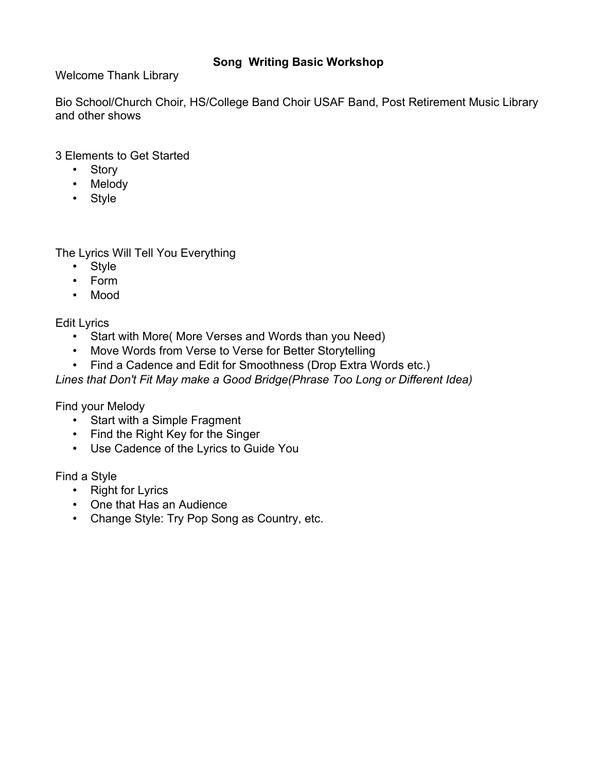# **Song Writing Basic Workshop**

Welcome Thank Library

Bio School/Church Choir, HS/College Band Choir USAF Band, Post Retirement Music Library and other shows

3 Elements to Get Started

- Story
- Melody
- Style

The Lyrics Will Tell You Everything

- Style
- Form
- Mood

Edit Lyrics

- Start with More( More Verses and Words than you Need)
- Move Words from Verse to Verse for Better Storytelling
- Find a Cadence and Edit for Smoothness (Drop Extra Words etc.)

*Lines that Don't Fit May make a Good Bridge(Phrase Too Long or Different Idea)*

Find your Melody

- Start with a Simple Fragment
- Find the Right Key for the Singer
- Use Cadence of the Lyrics to Guide You

Find a Style

- Right for Lyrics
- One that Has an Audience
- Change Style: Try Pop Song as Country, etc.